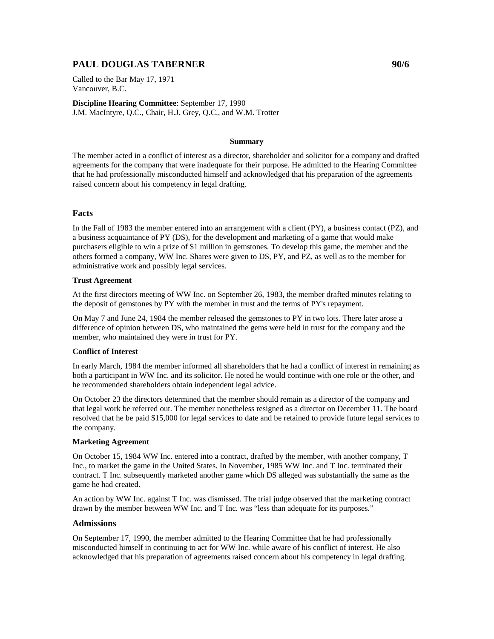# **PAUL DOUGLAS TABERNER 90/6**

Called to the Bar May 17, 1971 Vancouver, B.C.

**Discipline Hearing Committee**: September 17, 1990 J.M. MacIntyre, Q.C., Chair, H.J. Grey, Q.C., and W.M. Trotter

### **Summary**

The member acted in a conflict of interest as a director, shareholder and solicitor for a company and drafted agreements for the company that were inadequate for their purpose. He admitted to the Hearing Committee that he had professionally misconducted himself and acknowledged that his preparation of the agreements raised concern about his competency in legal drafting.

## **Facts**

In the Fall of 1983 the member entered into an arrangement with a client (PY), a business contact (PZ), and a business acquaintance of PY (DS), for the development and marketing of a game that would make purchasers eligible to win a prize of \$1 million in gemstones. To develop this game, the member and the others formed a company, WW Inc. Shares were given to DS, PY, and PZ, as well as to the member for administrative work and possibly legal services.

### **Trust Agreement**

At the first directors meeting of WW Inc. on September 26, 1983, the member drafted minutes relating to the deposit of gemstones by PY with the member in trust and the terms of PY's repayment.

On May 7 and June 24, 1984 the member released the gemstones to PY in two lots. There later arose a difference of opinion between DS, who maintained the gems were held in trust for the company and the member, who maintained they were in trust for PY.

## **Conflict of Interest**

In early March, 1984 the member informed all shareholders that he had a conflict of interest in remaining as both a participant in WW Inc. and its solicitor. He noted he would continue with one role or the other, and he recommended shareholders obtain independent legal advice.

On October 23 the directors determined that the member should remain as a director of the company and that legal work be referred out. The member nonetheless resigned as a director on December 11. The board resolved that he be paid \$15,000 for legal services to date and be retained to provide future legal services to the company.

#### **Marketing Agreement**

On October 15, 1984 WW Inc. entered into a contract, drafted by the member, with another company, T Inc., to market the game in the United States. In November, 1985 WW Inc. and T Inc. terminated their contract. T Inc. subsequently marketed another game which DS alleged was substantially the same as the game he had created.

An action by WW Inc. against T Inc. was dismissed. The trial judge observed that the marketing contract drawn by the member between WW Inc. and T Inc. was "less than adequate for its purposes."

## **Admissions**

On September 17, 1990, the member admitted to the Hearing Committee that he had professionally misconducted himself in continuing to act for WW Inc. while aware of his conflict of interest. He also acknowledged that his preparation of agreements raised concern about his competency in legal drafting.